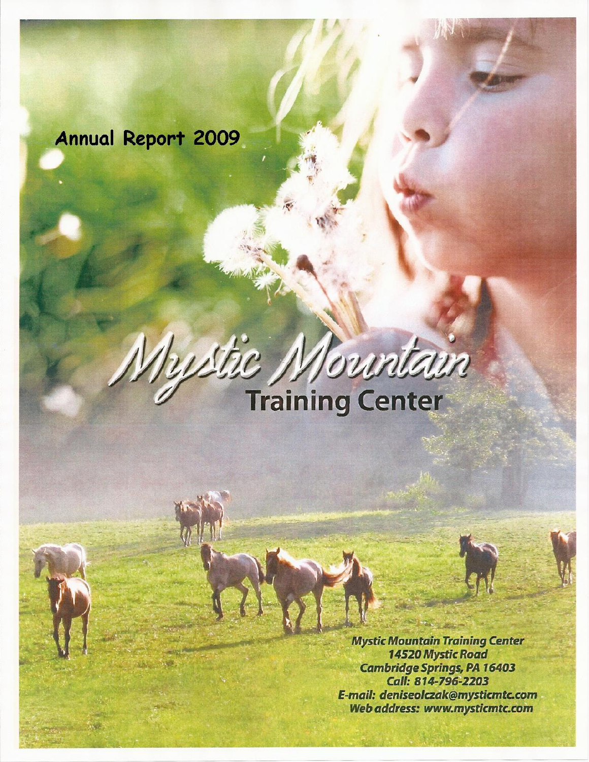# **Annual Report 2009**

**The Contract** 

# ustic Mountain

**Mystic Mountain Training Center** 14520 Mystic Road **Cambridge Springs, PA 16403** Call: 814-796-2203 E-mail: deniseolczak@mysticmtc.com Web address: www.mysticmtc.com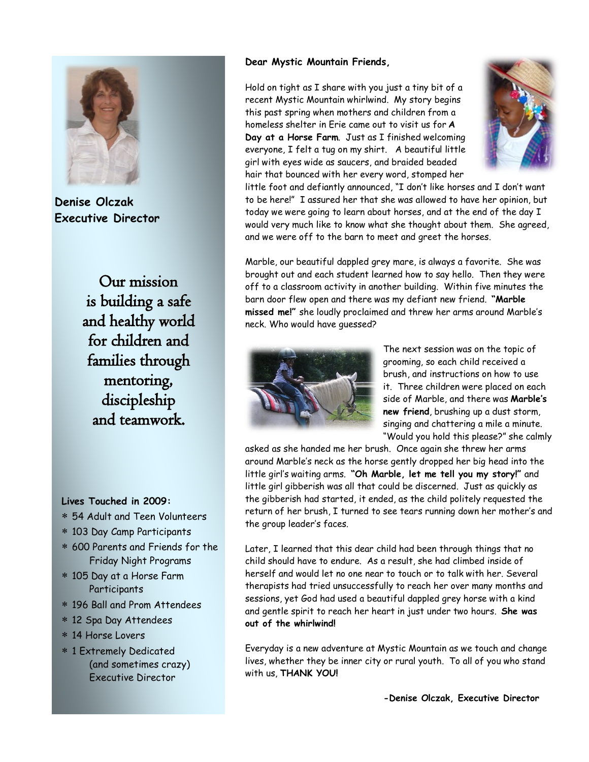

**Denise Olczak Executive Director**

Our mission is building a safe and healthy world for children and families through mentoring, discipleship and teamwork.

### **Dear Mystic Mountain Friends,**

Hold on tight as I share with you just a tiny bit of a recent Mystic Mountain whirlwind. My story begins this past spring when mothers and children from a homeless shelter in Erie came out to visit us for **A Day at a Horse Farm**. Just as I finished welcoming everyone, I felt a tug on my shirt. A beautiful little girl with eyes wide as saucers, and braided beaded hair that bounced with her every word, stomped her



little foot and defiantly announced, "I don't like horses and I don't want to be here!" I assured her that she was allowed to have her opinion, but today we were going to learn about horses, and at the end of the day I would very much like to know what she thought about them. She agreed, and we were off to the barn to meet and greet the horses.

Marble, our beautiful dappled grey mare, is always a favorite. She was brought out and each student learned how to say hello. Then they were off to a classroom activity in another building. Within five minutes the barn door flew open and there was my defiant new friend. **"Marble missed me!"** she loudly proclaimed and threw her arms around Marble's neck. Who would have guessed?



The next session was on the topic of grooming, so each child received a brush, and instructions on how to use it. Three children were placed on each side of Marble, and there was **Marble's new friend**, brushing up a dust storm, singing and chattering a mile a minute. "Would you hold this please?" she calmly

asked as she handed me her brush. Once again she threw her arms around Marble's neck as the horse gently dropped her big head into the little girl's waiting arms. **"Oh Marble, let me tell you my story!"** and little girl gibberish was all that could be discerned. Just as quickly as the gibberish had started, it ended, as the child politely requested the return of her brush, I turned to see tears running down her mother's and the group leader's faces.

Later, I learned that this dear child had been through things that no child should have to endure. As a result, she had climbed inside of herself and would let no one near to touch or to talk with her. Several therapists had tried unsuccessfully to reach her over many months and sessions, yet God had used a beautiful dappled grey horse with a kind and gentle spirit to reach her heart in just under two hours. **She was out of the whirlwind!** 

Everyday is a new adventure at Mystic Mountain as we touch and change lives, whether they be inner city or rural youth. To all of you who stand with us, **THANK YOU!**

**-Denise Olczak, Executive Director**

### **Lives Touched in 2009:**

- 54 Adult and Teen Volunteers
- 103 Day Camp Participants
- 600 Parents and Friends for the Friday Night Programs
- 105 Day at a Horse Farm **Participants**
- 196 Ball and Prom Attendees
- 12 Spa Day Attendees
- 14 Horse Lovers
- 1 Extremely Dedicated (and sometimes crazy) Executive Director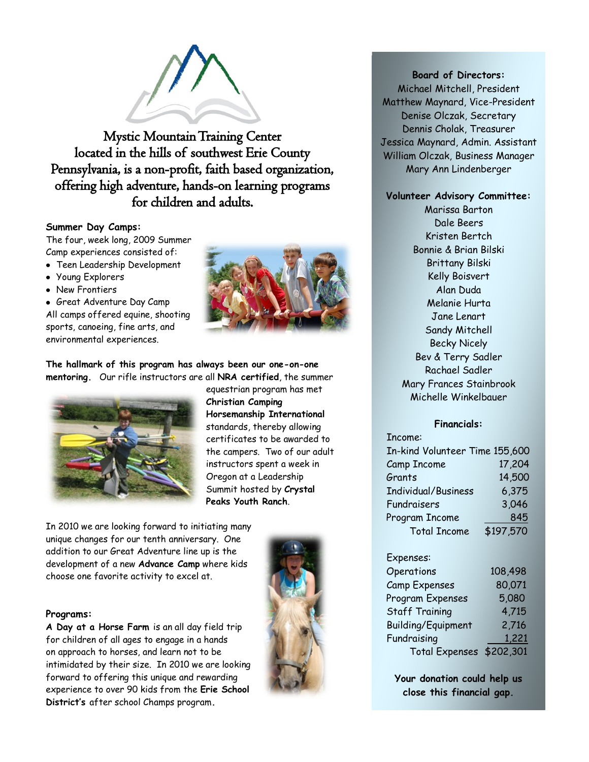

Mystic Mountain Training Center located in the hills of southwest Erie County Pennsylvania, is a non-profit, faith based organization, offering high adventure, hands-on learning programs for children and adults.

### **Summer Day Camps:**

The four, week long, 2009 Summer Camp experiences consisted of:

- Teen Leadership Development
- Young Explorers
- New Frontiers

Great Adventure Day Camp All camps offered equine, shooting sports, canoeing, fine arts, and environmental experiences.



**The hallmark of this program has always been our one-on-one mentoring.** Our rifle instructors are all **NRA certified**, the summer



equestrian program has met **Christian Camping Horsemanship International**  standards, thereby allowing certificates to be awarded to the campers. Two of our adult instructors spent a week in Oregon at a Leadership Summit hosted by **Crystal Peaks Youth Ranch**.

In 2010 we are looking forward to initiating many unique changes for our tenth anniversary. One addition to our Great Adventure line up is the development of a new **Advance Camp** where kids choose one favorite activity to excel at.

### **Programs:**

**A Day at a Horse Farm** is an all day field trip for children of all ages to engage in a hands on approach to horses, and learn not to be intimidated by their size. In 2010 we are looking forward to offering this unique and rewarding experience to over 90 kids from the **Erie School District's** after school Champs program**.**



### **Board of Directors:**

Michael Mitchell, President Matthew Maynard, Vice-President Denise Olczak, Secretary Dennis Cholak, Treasurer Jessica Maynard, Admin. Assistant William Olczak, Business Manager Mary Ann Lindenberger

### **Volunteer Advisory Committee:**

Marissa Barton Dale Beers Kristen Bertch Bonnie & Brian Bilski Brittany Bilski Kelly Boisvert Alan Duda Melanie Hurta Jane Lenart Sandy Mitchell Becky Nicely Bev & Terry Sadler Rachael Sadler Mary Frances Stainbrook Michelle Winkelbauer

### **Financials:**

| Income:                        |           |
|--------------------------------|-----------|
| In-kind Volunteer Time 155,600 |           |
| Camp Income                    | 17,204    |
| Grants                         | 14,500    |
| Individual/Business            | 6,375     |
| Fundraisers                    | 3,046     |
| Program Income                 | 845       |
| <b>Total Income</b>            | \$197,570 |

### Expenses:

| Operations                | 108,498 |
|---------------------------|---------|
| <b>Camp Expenses</b>      | 80,071  |
| Program Expenses          | 5,080   |
| <b>Staff Training</b>     | 4,715   |
| <b>Building/Equipment</b> | 2,716   |
| Fundraising               | 1,221   |
| Total Expenses \$202,301  |         |

**Your donation could help us close this financial gap.**